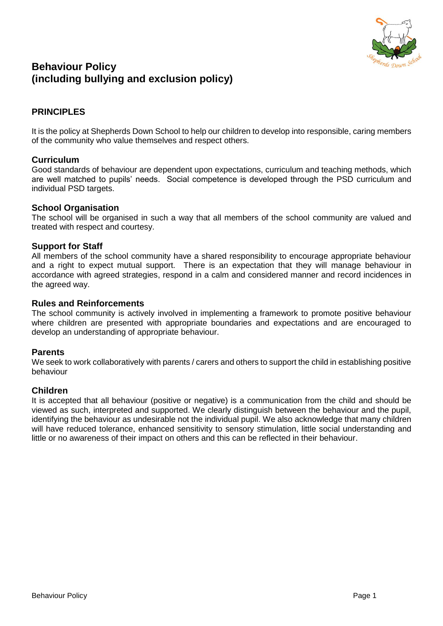

# **Behaviour Policy (including bullying and exclusion policy)**

## **PRINCIPLES**

It is the policy at Shepherds Down School to help our children to develop into responsible, caring members of the community who value themselves and respect others.

### **Curriculum**

Good standards of behaviour are dependent upon expectations, curriculum and teaching methods, which are well matched to pupils' needs. Social competence is developed through the PSD curriculum and individual PSD targets.

#### **School Organisation**

The school will be organised in such a way that all members of the school community are valued and treated with respect and courtesy.

### **Support for Staff**

All members of the school community have a shared responsibility to encourage appropriate behaviour and a right to expect mutual support. There is an expectation that they will manage behaviour in accordance with agreed strategies, respond in a calm and considered manner and record incidences in the agreed way.

#### **Rules and Reinforcements**

The school community is actively involved in implementing a framework to promote positive behaviour where children are presented with appropriate boundaries and expectations and are encouraged to develop an understanding of appropriate behaviour.

### **Parents**

We seek to work collaboratively with parents / carers and others to support the child in establishing positive behaviour

### **Children**

It is accepted that all behaviour (positive or negative) is a communication from the child and should be viewed as such, interpreted and supported. We clearly distinguish between the behaviour and the pupil, identifying the behaviour as undesirable not the individual pupil. We also acknowledge that many children will have reduced tolerance, enhanced sensitivity to sensory stimulation, little social understanding and little or no awareness of their impact on others and this can be reflected in their behaviour.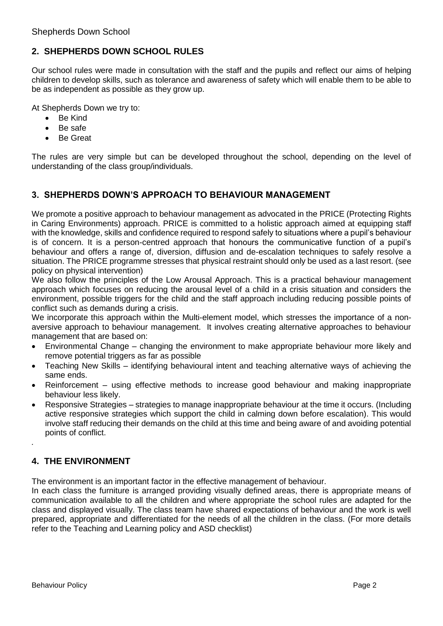## **2. SHEPHERDS DOWN SCHOOL RULES**

Our school rules were made in consultation with the staff and the pupils and reflect our aims of helping children to develop skills, such as tolerance and awareness of safety which will enable them to be able to be as independent as possible as they grow up.

At Shepherds Down we try to:

- Be Kind
- Be safe
- Be Great

The rules are very simple but can be developed throughout the school, depending on the level of understanding of the class group/individuals.

## **3. SHEPHERDS DOWN'S APPROACH TO BEHAVIOUR MANAGEMENT**

We promote a positive approach to behaviour management as advocated in the PRICE (Protecting Rights in Caring Environments) approach. PRICE is committed to a holistic approach aimed at equipping staff with the knowledge, skills and confidence required to respond safely to situations where a pupil's behaviour is of concern. It is a person-centred approach that honours the communicative function of a pupil's behaviour and offers a range of, diversion, diffusion and de-escalation techniques to safely resolve a situation. The PRICE programme stresses that physical restraint should only be used as a last resort. (see policy on physical intervention)

We also follow the principles of the Low Arousal Approach. This is a practical behaviour management approach which focuses on reducing the arousal level of a child in a crisis situation and considers the environment, possible triggers for the child and the staff approach including reducing possible points of conflict such as demands during a crisis.

We incorporate this approach within the Multi-element model, which stresses the importance of a nonaversive approach to behaviour management. It involves creating alternative approaches to behaviour management that are based on:

- Environmental Change changing the environment to make appropriate behaviour more likely and remove potential triggers as far as possible
- Teaching New Skills identifying behavioural intent and teaching alternative ways of achieving the same ends.
- Reinforcement using effective methods to increase good behaviour and making inappropriate behaviour less likely.
- Responsive Strategies strategies to manage inappropriate behaviour at the time it occurs. (Including active responsive strategies which support the child in calming down before escalation). This would involve staff reducing their demands on the child at this time and being aware of and avoiding potential points of conflict.

# **4. THE ENVIRONMENT**

*.*

The environment is an important factor in the effective management of behaviour.

In each class the furniture is arranged providing visually defined areas, there is appropriate means of communication available to all the children and where appropriate the school rules are adapted for the class and displayed visually. The class team have shared expectations of behaviour and the work is well prepared, appropriate and differentiated for the needs of all the children in the class. (For more details refer to the Teaching and Learning policy and ASD checklist)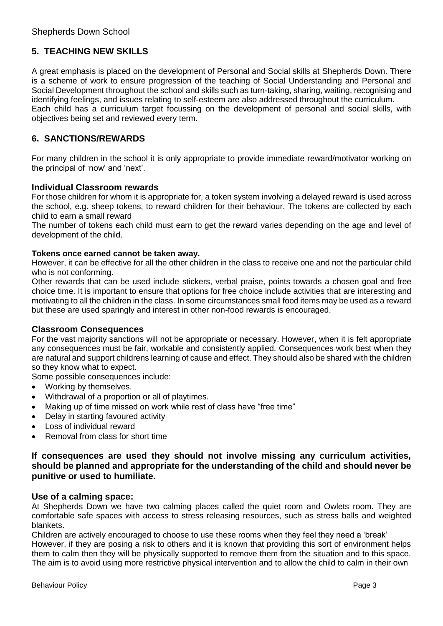## **5. TEACHING NEW SKILLS**

A great emphasis is placed on the development of Personal and Social skills at Shepherds Down. There is a scheme of work to ensure progression of the teaching of Social Understanding and Personal and Social Development throughout the school and skills such as turn-taking, sharing, waiting, recognising and identifying feelings, and issues relating to self-esteem are also addressed throughout the curriculum. Each child has a curriculum target focussing on the development of personal and social skills, with objectives being set and reviewed every term.

## **6. SANCTIONS/REWARDS**

For many children in the school it is only appropriate to provide immediate reward/motivator working on the principal of 'now' and 'next'.

## **Individual Classroom rewards**

For those children for whom it is appropriate for, a token system involving a delayed reward is used across the school, e.g. sheep tokens, to reward children for their behaviour. The tokens are collected by each child to earn a small reward

The number of tokens each child must earn to get the reward varies depending on the age and level of development of the child.

#### **Tokens once earned cannot be taken away.**

However, it can be effective for all the other children in the class to receive one and not the particular child who is not conforming.

Other rewards that can be used include stickers, verbal praise, points towards a chosen goal and free choice time. It is important to ensure that options for free choice include activities that are interesting and motivating to all the children in the class. In some circumstances small food items may be used as a reward but these are used sparingly and interest in other non-food rewards is encouraged.

#### **Classroom Consequences**

For the vast majority sanctions will not be appropriate or necessary. However, when it is felt appropriate any consequences must be fair, workable and consistently applied. Consequences work best when they are natural and support childrens learning of cause and effect. They should also be shared with the children so they know what to expect.

Some possible consequences include:

- Working by themselves.
- Withdrawal of a proportion or all of playtimes.
- Making up of time missed on work while rest of class have "free time"
- Delay in starting favoured activity
- Loss of individual reward
- Removal from class for short time

### **If consequences are used they should not involve missing any curriculum activities, should be planned and appropriate for the understanding of the child and should never be punitive or used to humiliate.**

#### **Use of a calming space:**

At Shepherds Down we have two calming places called the quiet room and Owlets room. They are comfortable safe spaces with access to stress releasing resources, such as stress balls and weighted blankets.

Children are actively encouraged to choose to use these rooms when they feel they need a 'break' However, if they are posing a risk to others and it is known that providing this sort of environment helps them to calm then they will be physically supported to remove them from the situation and to this space. The aim is to avoid using more restrictive physical intervention and to allow the child to calm in their own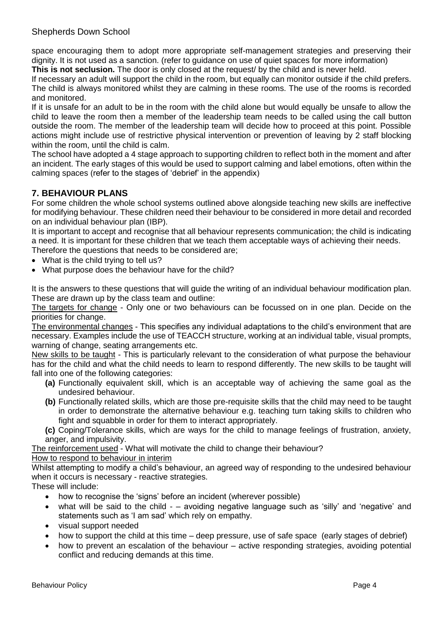space encouraging them to adopt more appropriate self-management strategies and preserving their dignity. It is not used as a sanction. (refer to guidance on use of quiet spaces for more information) **This is not seclusion.** The door is only closed at the request/ by the child and is never held.

If necessary an adult will support the child in the room, but equally can monitor outside if the child prefers. The child is always monitored whilst they are calming in these rooms. The use of the rooms is recorded and monitored.

If it is unsafe for an adult to be in the room with the child alone but would equally be unsafe to allow the child to leave the room then a member of the leadership team needs to be called using the call button outside the room. The member of the leadership team will decide how to proceed at this point. Possible actions might include use of restrictive physical intervention or prevention of leaving by 2 staff blocking within the room, until the child is calm.

The school have adopted a 4 stage approach to supporting children to reflect both in the moment and after an incident. The early stages of this would be used to support calming and label emotions, often within the calming spaces (refer to the stages of 'debrief' in the appendix)

## **7. BEHAVIOUR PLANS**

For some children the whole school systems outlined above alongside teaching new skills are ineffective for modifying behaviour. These children need their behaviour to be considered in more detail and recorded on an individual behaviour plan (IBP).

It is important to accept and recognise that all behaviour represents communication; the child is indicating a need. It is important for these children that we teach them acceptable ways of achieving their needs. Therefore the questions that needs to be considered are;

- What is the child trying to tell us?
- What purpose does the behaviour have for the child?

It is the answers to these questions that will guide the writing of an individual behaviour modification plan. These are drawn up by the class team and outline:

The targets for change - Only one or two behaviours can be focussed on in one plan. Decide on the priorities for change.

The environmental changes - This specifies any individual adaptations to the child's environment that are necessary. Examples include the use of TEACCH structure, working at an individual table, visual prompts, warning of change, seating arrangements etc.

New skills to be taught - This is particularly relevant to the consideration of what purpose the behaviour has for the child and what the child needs to learn to respond differently. The new skills to be taught will fall into one of the following categories:

- **(a)** Functionally equivalent skill, which is an acceptable way of achieving the same goal as the undesired behaviour.
- **(b)** Functionally related skills, which are those pre-requisite skills that the child may need to be taught in order to demonstrate the alternative behaviour e.g. teaching turn taking skills to children who fight and squabble in order for them to interact appropriately.
- **(c)** Coping/Tolerance skills, which are ways for the child to manage feelings of frustration, anxiety, anger, and impulsivity.

The reinforcement used - What will motivate the child to change their behaviour?

### How to respond to behaviour in interim

Whilst attempting to modify a child's behaviour, an agreed way of responding to the undesired behaviour when it occurs is necessary - reactive strategies.

These will include:

- how to recognise the 'signs' before an incident (wherever possible)
- what will be said to the child – avoiding negative language such as 'silly' and 'negative' and statements such as 'I am sad' which rely on empathy.
- visual support needed
- how to support the child at this time deep pressure, use of safe space (early stages of debrief)
- how to prevent an escalation of the behaviour active responding strategies, avoiding potential conflict and reducing demands at this time.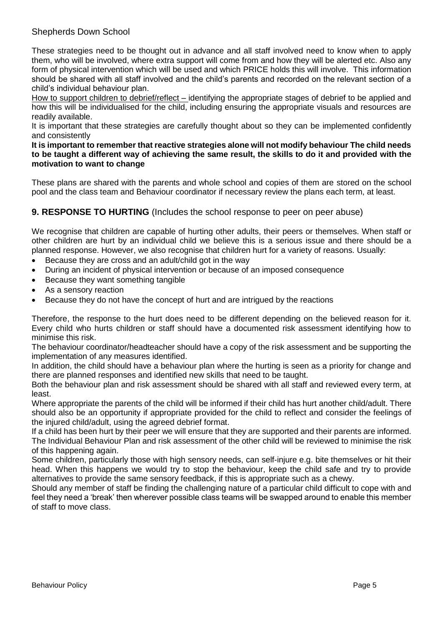## Shepherds Down School

These strategies need to be thought out in advance and all staff involved need to know when to apply them, who will be involved, where extra support will come from and how they will be alerted etc. Also any form of physical intervention which will be used and which PRICE holds this will involve. This information should be shared with all staff involved and the child's parents and recorded on the relevant section of a child's individual behaviour plan.

How to support children to debrief/reflect – identifying the appropriate stages of debrief to be applied and how this will be individualised for the child, including ensuring the appropriate visuals and resources are readily available.

It is important that these strategies are carefully thought about so they can be implemented confidently and consistently

**It is important to remember that reactive strategies alone will not modify behaviour The child needs to be taught a different way of achieving the same result, the skills to do it and provided with the motivation to want to change** 

These plans are shared with the parents and whole school and copies of them are stored on the school pool and the class team and Behaviour coordinator if necessary review the plans each term, at least.

## **9. RESPONSE TO HURTING** (Includes the school response to peer on peer abuse)

We recognise that children are capable of hurting other adults, their peers or themselves. When staff or other children are hurt by an individual child we believe this is a serious issue and there should be a planned response. However, we also recognise that children hurt for a variety of reasons. Usually:

- Because they are cross and an adult/child got in the way
- During an incident of physical intervention or because of an imposed consequence
- Because they want something tangible
- As a sensory reaction
- Because they do not have the concept of hurt and are intrigued by the reactions

Therefore, the response to the hurt does need to be different depending on the believed reason for it. Every child who hurts children or staff should have a documented risk assessment identifying how to minimise this risk.

The behaviour coordinator/headteacher should have a copy of the risk assessment and be supporting the implementation of any measures identified.

In addition, the child should have a behaviour plan where the hurting is seen as a priority for change and there are planned responses and identified new skills that need to be taught.

Both the behaviour plan and risk assessment should be shared with all staff and reviewed every term, at least.

Where appropriate the parents of the child will be informed if their child has hurt another child/adult. There should also be an opportunity if appropriate provided for the child to reflect and consider the feelings of the injured child/adult, using the agreed debrief format.

If a child has been hurt by their peer we will ensure that they are supported and their parents are informed. The Individual Behaviour Plan and risk assessment of the other child will be reviewed to minimise the risk of this happening again.

Some children, particularly those with high sensory needs, can self-injure e.g. bite themselves or hit their head. When this happens we would try to stop the behaviour, keep the child safe and try to provide alternatives to provide the same sensory feedback, if this is appropriate such as a chewy.

Should any member of staff be finding the challenging nature of a particular child difficult to cope with and feel they need a 'break' then wherever possible class teams will be swapped around to enable this member of staff to move class.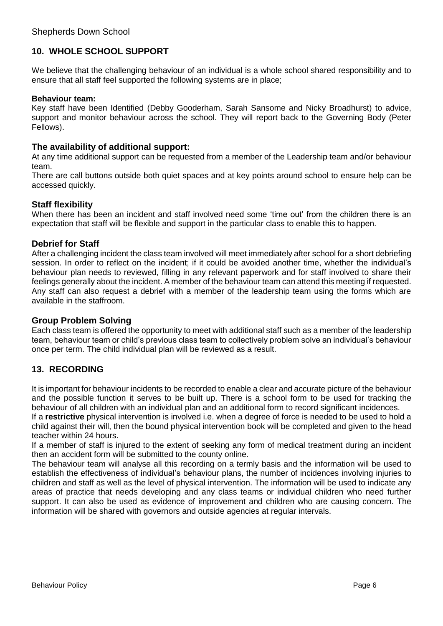## **10. WHOLE SCHOOL SUPPORT**

We believe that the challenging behaviour of an individual is a whole school shared responsibility and to ensure that all staff feel supported the following systems are in place;

#### **Behaviour team:**

Key staff have been Identified (Debby Gooderham, Sarah Sansome and Nicky Broadhurst) to advice, support and monitor behaviour across the school. They will report back to the Governing Body (Peter Fellows).

## **The availability of additional support:**

At any time additional support can be requested from a member of the Leadership team and/or behaviour team.

There are call buttons outside both quiet spaces and at key points around school to ensure help can be accessed quickly.

## **Staff flexibility**

When there has been an incident and staff involved need some 'time out' from the children there is an expectation that staff will be flexible and support in the particular class to enable this to happen.

## **Debrief for Staff**

After a challenging incident the class team involved will meet immediately after school for a short debriefing session. In order to reflect on the incident; if it could be avoided another time, whether the individual's behaviour plan needs to reviewed, filling in any relevant paperwork and for staff involved to share their feelings generally about the incident. A member of the behaviour team can attend this meeting if requested. Any staff can also request a debrief with a member of the leadership team using the forms which are available in the staffroom.

### **Group Problem Solving**

Each class team is offered the opportunity to meet with additional staff such as a member of the leadership team, behaviour team or child's previous class team to collectively problem solve an individual's behaviour once per term. The child individual plan will be reviewed as a result.

## **13. RECORDING**

It is important for behaviour incidents to be recorded to enable a clear and accurate picture of the behaviour and the possible function it serves to be built up. There is a school form to be used for tracking the behaviour of all children with an individual plan and an additional form to record significant incidences.

If a **restrictive** physical intervention is involved i.e. when a degree of force is needed to be used to hold a child against their will, then the bound physical intervention book will be completed and given to the head teacher within 24 hours.

If a member of staff is injured to the extent of seeking any form of medical treatment during an incident then an accident form will be submitted to the county online.

The behaviour team will analyse all this recording on a termly basis and the information will be used to establish the effectiveness of individual's behaviour plans, the number of incidences involving injuries to children and staff as well as the level of physical intervention. The information will be used to indicate any areas of practice that needs developing and any class teams or individual children who need further support. It can also be used as evidence of improvement and children who are causing concern. The information will be shared with governors and outside agencies at regular intervals.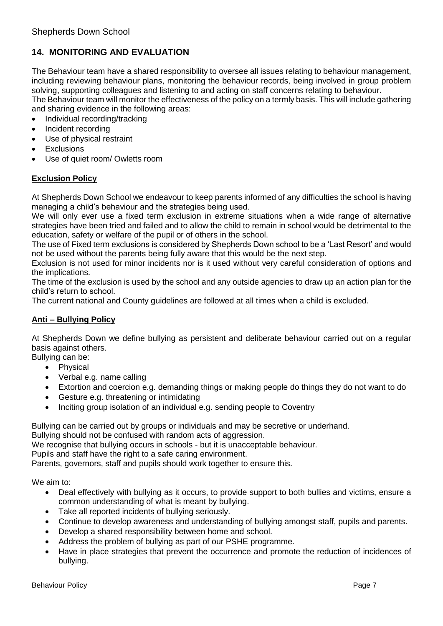# **14. MONITORING AND EVALUATION**

The Behaviour team have a shared responsibility to oversee all issues relating to behaviour management, including reviewing behaviour plans, monitoring the behaviour records, being involved in group problem solving, supporting colleagues and listening to and acting on staff concerns relating to behaviour. The Behaviour team will monitor the effectiveness of the policy on a termly basis. This will include gathering and sharing evidence in the following areas:

- Individual recording/tracking
- Incident recording
- Use of physical restraint
- Exclusions
- Use of quiet room/ Owletts room

## **Exclusion Policy**

At Shepherds Down School we endeavour to keep parents informed of any difficulties the school is having managing a child's behaviour and the strategies being used.

We will only ever use a fixed term exclusion in extreme situations when a wide range of alternative strategies have been tried and failed and to allow the child to remain in school would be detrimental to the education, safety or welfare of the pupil or of others in the school.

The use of Fixed term exclusions is considered by Shepherds Down school to be a 'Last Resort' and would not be used without the parents being fully aware that this would be the next step.

Exclusion is not used for minor incidents nor is it used without very careful consideration of options and the implications.

The time of the exclusion is used by the school and any outside agencies to draw up an action plan for the child's return to school.

The current national and County guidelines are followed at all times when a child is excluded.

### **Anti – Bullying Policy**

At Shepherds Down we define bullying as persistent and deliberate behaviour carried out on a regular basis against others.

Bullying can be:

- Physical
- Verbal e.g. name calling
- Extortion and coercion e.g. demanding things or making people do things they do not want to do
- Gesture e.g. threatening or intimidating
- Inciting group isolation of an individual e.g. sending people to Coventry

Bullying can be carried out by groups or individuals and may be secretive or underhand.

Bullying should not be confused with random acts of aggression.

We recognise that bullying occurs in schools - but it is unacceptable behaviour.

Pupils and staff have the right to a safe caring environment.

Parents, governors, staff and pupils should work together to ensure this.

We aim to:

- Deal effectively with bullying as it occurs, to provide support to both bullies and victims, ensure a common understanding of what is meant by bullying.
- Take all reported incidents of bullying seriously.
- Continue to develop awareness and understanding of bullying amongst staff, pupils and parents.
- Develop a shared responsibility between home and school.
- Address the problem of bullying as part of our PSHE programme.
- Have in place strategies that prevent the occurrence and promote the reduction of incidences of bullying.